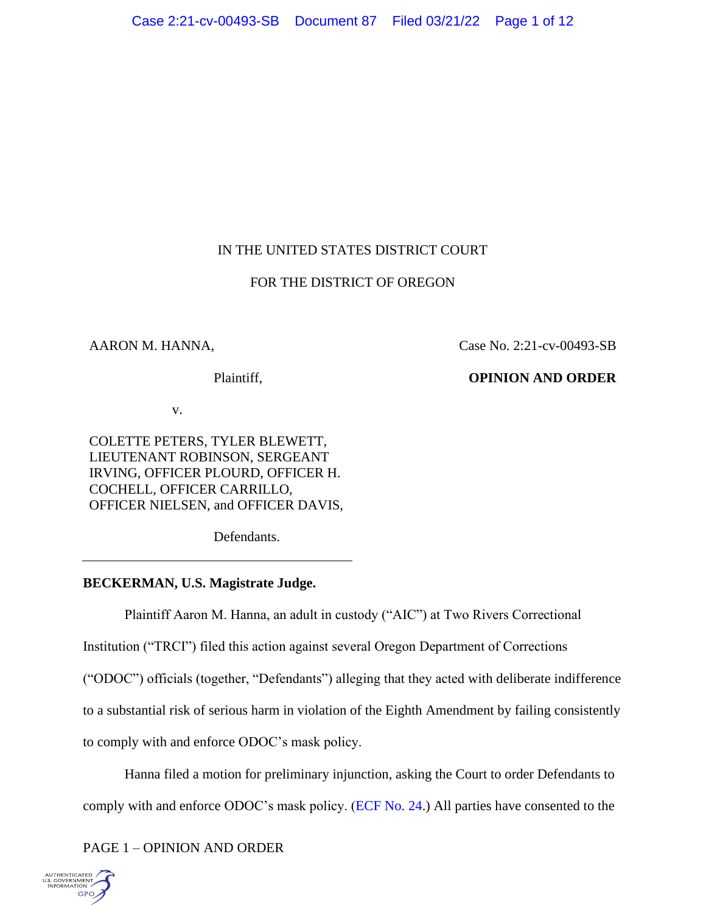# IN THE UNITED STATES DISTRICT COURT

# FOR THE DISTRICT OF OREGON

## AARON M. HANNA,

Case No. 2:21-cv-00493-SB

### Plaintiff,

# **OPINION AND ORDER**

v.

COLETTE PETERS, TYLER BLEWETT, LIEUTENANT ROBINSON, SERGEANT IRVING, OFFICER PLOURD, OFFICER H. COCHELL, OFFICER CARRILLO, OFFICER NIELSEN, and OFFICER DAVIS,

Defendants.

# **BECKERMAN, U.S. Magistrate Judge.**

Plaintiff Aaron M. Hanna, an adult in custody ("AIC") at Two Rivers Correctional

Institution ("TRCI") filed this action against several Oregon Department of Corrections

("ODOC") officials (together, "Defendants") alleging that they acted with deliberate indifference

to a substantial risk of serious harm in violation of the Eighth Amendment by failing consistently

to comply with and enforce ODOC's mask policy.

Hanna filed a motion for preliminary injunction, asking the Court to order Defendants to comply with and enforce ODOC's mask policy. [\(ECF No. 24.](https://ecf.ord.uscourts.gov/doc1/15118193316?caseid=159726&de_seq_num=103&hdr=1&pdf_header=1&pdf_toggle_possible=1)) All parties have consented to the

PAGE 1 – OPINION AND ORDER

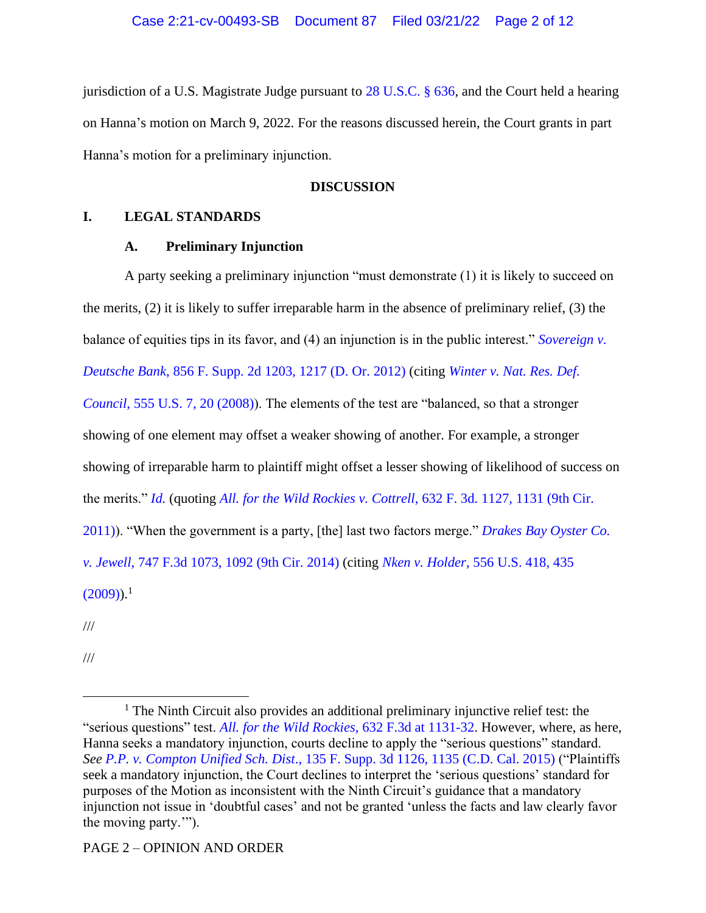jurisdiction of a U.S. Magistrate Judge pursuant to [28 U.S.C. § 636,](https://www.westlaw.com/Document/NE76D7C80E34E11DEA7C5EABE04182D4D/View/FullText.html?transitionType=Default&contextData=(sc.Default)&VR=3.0&RS=da3.0) and the Court held a hearing on Hanna's motion on March 9, 2022. For the reasons discussed herein, the Court grants in part Hanna's motion for a preliminary injunction.

## **DISCUSSION**

## **I. LEGAL STANDARDS**

## **A. Preliminary Injunction**

A party seeking a preliminary injunction "must demonstrate (1) it is likely to succeed on the merits, (2) it is likely to suffer irreparable harm in the absence of preliminary relief, (3) the balance of equities tips in its favor, and (4) an injunction is in the public interest." *[Sovereign v.](https://www.westlaw.com/Document/I776a38e668cd11e1be29b2facdefeebe/View/FullText.html?transitionType=Default&contextData=(sc.Default)&VR=3.0&RS=da3.0&fragmentIdentifier=co_pp_sp_4637_1217)  Deutsche Bank*[, 856 F. Supp. 2d 1203, 1217 \(D. Or. 2012\)](https://www.westlaw.com/Document/I776a38e668cd11e1be29b2facdefeebe/View/FullText.html?transitionType=Default&contextData=(sc.Default)&VR=3.0&RS=da3.0&fragmentIdentifier=co_pp_sp_4637_1217) (citing *[Winter v. Nat. Res. Def.](https://www.westlaw.com/Document/I2c2f54e6b02911ddb7e683ba170699a5/View/FullText.html?transitionType=Default&contextData=(sc.Default)&VR=3.0&RS=da3.0&fragmentIdentifier=co_pp_sp_780_20)  Council*[, 555 U.S. 7, 20 \(2008\)\)](https://www.westlaw.com/Document/I2c2f54e6b02911ddb7e683ba170699a5/View/FullText.html?transitionType=Default&contextData=(sc.Default)&VR=3.0&RS=da3.0&fragmentIdentifier=co_pp_sp_780_20). The elements of the test are "balanced, so that a stronger showing of one element may offset a weaker showing of another. For example, a stronger showing of irreparable harm to plaintiff might offset a lesser showing of likelihood of success on the merits." *[Id.](https://www.westlaw.com/Document/I776a38e668cd11e1be29b2facdefeebe/View/FullText.html?transitionType=Default&contextData=(sc.Default)&VR=3.0&RS=da3.0)* (quoting *All. for the Wild Rockies v. Cottrell*, 632 F. 3d. 1127, 1131 (9th Cir. 2011)). "When the government is a party, [the] last two factors merge." *[Drakes Bay Oyster Co.](https://www.westlaw.com/Document/I0b144d2c7d1211e381b8b0e9e015e69e/View/FullText.html?transitionType=Default&contextData=(sc.Default)&VR=3.0&RS=da3.0&fragmentIdentifier=co_pp_sp_506_1092)  v. Jewell*[, 747 F.3d 1073, 1092 \(9th Cir. 2014\)](https://www.westlaw.com/Document/I0b144d2c7d1211e381b8b0e9e015e69e/View/FullText.html?transitionType=Default&contextData=(sc.Default)&VR=3.0&RS=da3.0&fragmentIdentifier=co_pp_sp_506_1092) (citing *Nken v. Holder*[, 556 U.S. 418, 435](https://www.westlaw.com/Document/Id0fe62e22f3811deabded03f2b83b8a4/View/FullText.html?transitionType=Default&contextData=(sc.Default)&VR=3.0&RS=da3.0&fragmentIdentifier=co_pp_sp_780_435)   $(2009)$ ).<sup>1</sup>

///

///

<sup>&</sup>lt;sup>1</sup> The Ninth Circuit also provides an additional preliminary injunctive relief test: the "serious questions" test. *All. for the Wild Rockies*[, 632 F.3d at 1131-32. However,](https://www.westlaw.com/Document/I30dcad5928c211e080558336ea473530/View/FullText.html?transitionType=Default&contextData=(sc.Default)&VR=3.0&RS=da3.0&fragmentIdentifier=co_pp_sp_506_1131) where, as here, Hanna seeks a mandatory injunction, courts decline to apply the "serious questions" standard. *See P.P. v. Compton Unified Sch. Dist*[., 135 F. Supp. 3d 1126, 1135 \(C.D. Cal. 2015\)](https://www.westlaw.com/Document/I05441a00691f11e5a966f97caf3cb288/View/FullText.html?transitionType=Default&contextData=(sc.Default)&VR=3.0&RS=da3.0&fragmentIdentifier=co_pp_sp_7903_1135) ("Plaintiffs seek a mandatory injunction, the Court declines to interpret the 'serious questions' standard for purposes of the Motion as inconsistent with the Ninth Circuit's guidance that a mandatory injunction not issue in 'doubtful cases' and not be granted 'unless the facts and law clearly favor the moving party.'").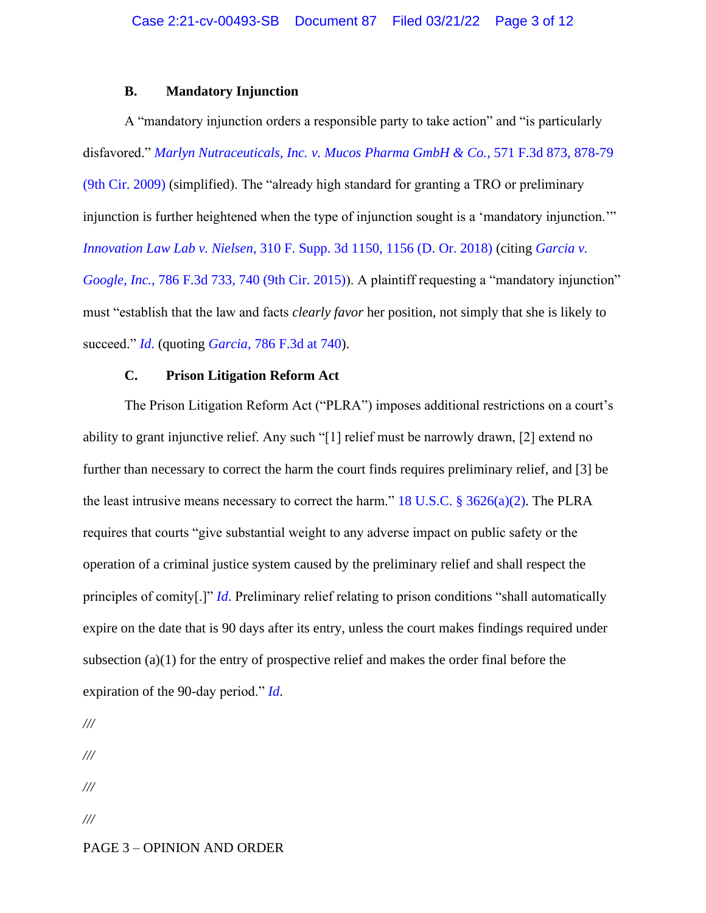### **B. Mandatory Injunction**

A "mandatory injunction orders a responsible party to take action" and "is particularly disfavored." *[Marlyn Nutraceuticals, Inc. v. Mucos Pharma GmbH & Co.](https://www.westlaw.com/Document/I995691cd672211deb08de1b7506ad85b/View/FullText.html?transitionType=Default&contextData=(sc.Default)&VR=3.0&RS=da3.0&fragmentIdentifier=co_pp_sp_506_878)*, 571 F.3d 873, 878-79 [\(9th Cir. 2009\)](https://www.westlaw.com/Document/I995691cd672211deb08de1b7506ad85b/View/FullText.html?transitionType=Default&contextData=(sc.Default)&VR=3.0&RS=da3.0&fragmentIdentifier=co_pp_sp_506_878) (simplified). The "already high standard for granting a TRO or preliminary injunction is further heightened when the type of injunction sought is a 'mandatory injunction.'" *Innovation Law Lab v. Nielsen*[, 310 F. Supp. 3d 1150, 1156 \(D. Or. 2018\)](https://www.westlaw.com/Document/If97e7e30793e11e88d669565240b92b2/View/FullText.html?transitionType=Default&contextData=(sc.Default)&VR=3.0&RS=da3.0&fragmentIdentifier=co_pp_sp_7903_1156) (citing *[Garcia v.](https://www.westlaw.com/Document/I51ce6ec9fd5811e4b86bd602cb8781fa/View/FullText.html?transitionType=Default&contextData=(sc.Default)&VR=3.0&RS=da3.0&fragmentIdentifier=co_pp_sp_506_740) Google, Inc.*[, 786 F.3d 733, 740 \(9th Cir. 2015\)\)](https://www.westlaw.com/Document/I51ce6ec9fd5811e4b86bd602cb8781fa/View/FullText.html?transitionType=Default&contextData=(sc.Default)&VR=3.0&RS=da3.0&fragmentIdentifier=co_pp_sp_506_740). A plaintiff requesting a "mandatory injunction" must "establish that the law and facts *clearly favor* her position, not simply that she is likely to succeed." *[Id](https://www.westlaw.com/Document/If97e7e30793e11e88d669565240b92b2/View/FullText.html?transitionType=Default&contextData=(sc.Default)&VR=3.0&RS=da3.0)*. (quoting *Garcia*[, 786 F.3d at 740\)](https://www.westlaw.com/Document/I51ce6ec9fd5811e4b86bd602cb8781fa/View/FullText.html?transitionType=Default&contextData=(sc.Default)&VR=3.0&RS=da3.0&fragmentIdentifier=co_pp_sp_506_740).

# **C. Prison Litigation Reform Act**

The Prison Litigation Reform Act ("PLRA") imposes additional restrictions on a court's ability to grant injunctive relief. Any such "[1] relief must be narrowly drawn, [2] extend no further than necessary to correct the harm the court finds requires preliminary relief, and [3] be the least intrusive means necessary to correct the harm." 18 U.S.C.  $\S$  3626(a)(2). The PLRA requires that courts "give substantial weight to any adverse impact on public safety or the operation of a criminal justice system caused by the preliminary relief and shall respect the principles of comity[.]" *[Id](https://www.westlaw.com/Document/NF9C26DC0B36411D8983DF34406B5929B/View/FullText.html?transitionType=Default&contextData=(sc.Default)&VR=3.0&RS=da3.0)*. Preliminary relief relating to prison conditions "shall automatically expire on the date that is 90 days after its entry, unless the court makes findings required under subsection (a)(1) for the entry of prospective relief and makes the order final before the expiration of the 90-day period." *[Id](https://www.westlaw.com/Document/NF9C26DC0B36411D8983DF34406B5929B/View/FullText.html?transitionType=Default&contextData=(sc.Default)&VR=3.0&RS=da3.0)*.

*/// /// /// ///*

### PAGE 3 – OPINION AND ORDER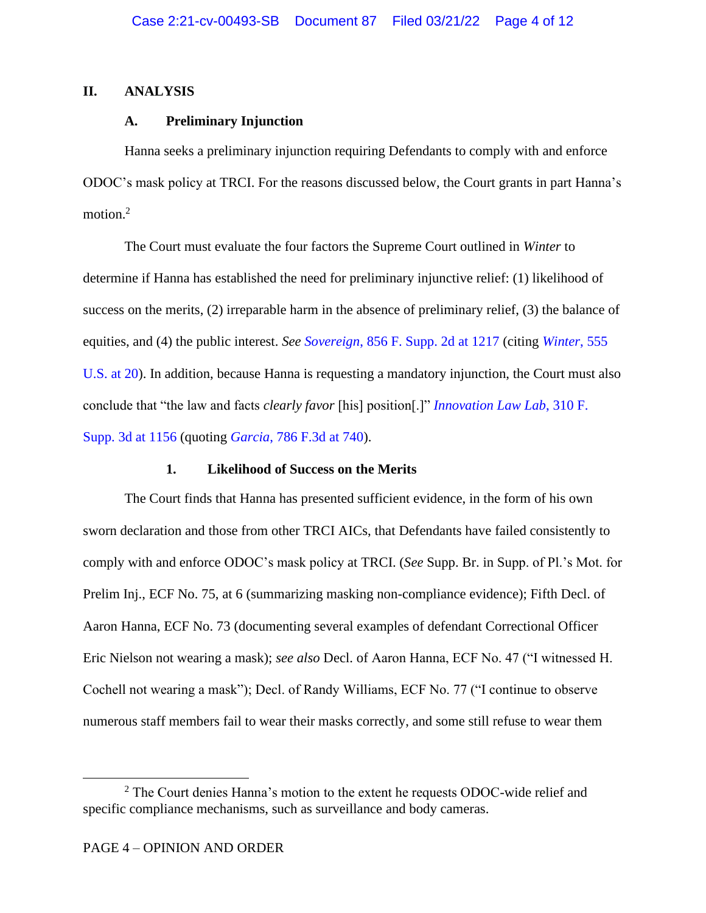## **II. ANALYSIS**

## **A. Preliminary Injunction**

Hanna seeks a preliminary injunction requiring Defendants to comply with and enforce ODOC's mask policy at TRCI. For the reasons discussed below, the Court grants in part Hanna's motion. 2

The Court must evaluate the four factors the Supreme Court outlined in *[Winter](https://www.westlaw.com/Document/I2c2f54e6b02911ddb7e683ba170699a5/View/FullText.html?transitionType=Default&contextData=(sc.Default)&VR=3.0&RS=da3.0)* to determine if Hanna has established the need for preliminary injunctive relief: (1) likelihood of success on the merits, (2) irreparable harm in the absence of preliminary relief, (3) the balance of equities, and (4) the public interest. *See Sovereign*[, 856 F. Supp. 2d at 1217](https://www.westlaw.com/Document/I776a38e668cd11e1be29b2facdefeebe/View/FullText.html?transitionType=Default&contextData=(sc.Default)&VR=3.0&RS=da3.0&fragmentIdentifier=co_pp_sp_4637_1217) (citing *[Winter](https://www.westlaw.com/Document/I2c2f54e6b02911ddb7e683ba170699a5/View/FullText.html?transitionType=Default&contextData=(sc.Default)&VR=3.0&RS=da3.0&fragmentIdentifier=co_pp_sp_780_20)*, 555 [U.S. at 20\)](https://www.westlaw.com/Document/I2c2f54e6b02911ddb7e683ba170699a5/View/FullText.html?transitionType=Default&contextData=(sc.Default)&VR=3.0&RS=da3.0&fragmentIdentifier=co_pp_sp_780_20). In addition, because Hanna is requesting a mandatory injunction, the Court must also conclude that "the law and facts *clearly favor* [his] position[.]" *[Innovation Law Lab](https://www.westlaw.com/Document/If97e7e30793e11e88d669565240b92b2/View/FullText.html?transitionType=Default&contextData=(sc.Default)&VR=3.0&RS=da3.0&fragmentIdentifier=co_pp_sp_7903_1156)*, 310 F. [Supp. 3d at 1156](https://www.westlaw.com/Document/If97e7e30793e11e88d669565240b92b2/View/FullText.html?transitionType=Default&contextData=(sc.Default)&VR=3.0&RS=da3.0&fragmentIdentifier=co_pp_sp_7903_1156) (quoting *Garcia*[, 786 F.3d at 740\)](https://www.westlaw.com/Document/I51ce6ec9fd5811e4b86bd602cb8781fa/View/FullText.html?transitionType=Default&contextData=(sc.Default)&VR=3.0&RS=da3.0&fragmentIdentifier=co_pp_sp_506_740).

# **1. Likelihood of Success on the Merits**

The Court finds that Hanna has presented sufficient evidence, in the form of his own sworn declaration and those from other TRCI AICs, that Defendants have failed consistently to comply with and enforce ODOC's mask policy at TRCI. (*See* Supp. Br. in Supp. of Pl.'s Mot. for Prelim Inj., ECF No. 75, at 6 (summarizing masking non-compliance evidence); Fifth Decl. of Aaron Hanna, ECF No. 73 (documenting several examples of defendant Correctional Officer Eric Nielson not wearing a mask); *see also* Decl. of Aaron Hanna, ECF No. 47 ("I witnessed H. Cochell not wearing a mask"); Decl. of Randy Williams, ECF No. 77 ("I continue to observe numerous staff members fail to wear their masks correctly, and some still refuse to wear them

<sup>&</sup>lt;sup>2</sup> The Court denies Hanna's motion to the extent he requests ODOC-wide relief and specific compliance mechanisms, such as surveillance and body cameras.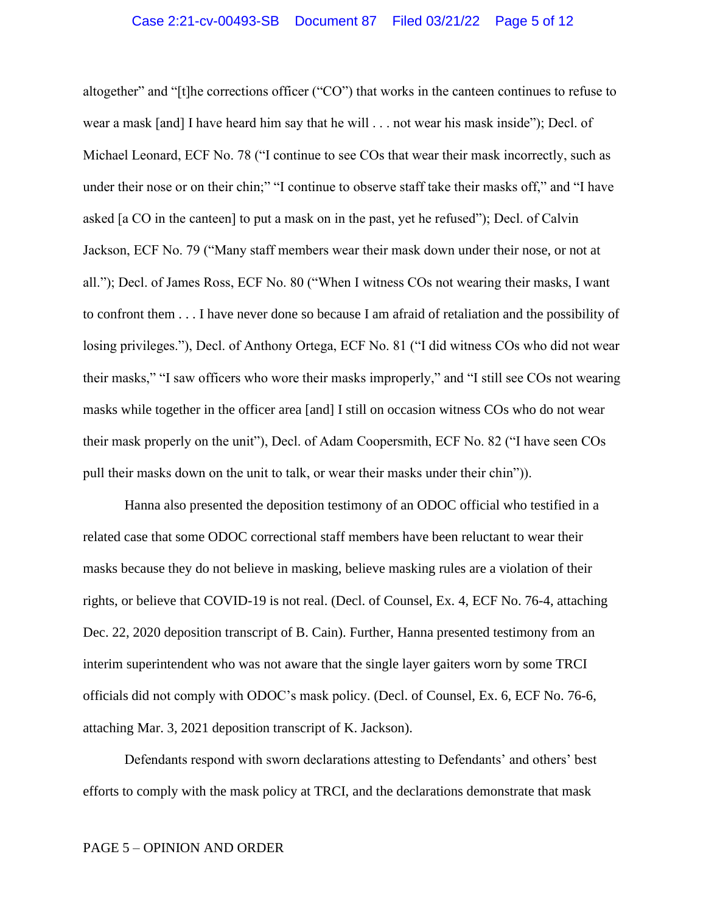altogether" and "[t]he corrections officer ("CO") that works in the canteen continues to refuse to wear a mask [and] I have heard him say that he will . . . not wear his mask inside"); Decl. of Michael Leonard, ECF No. 78 ("I continue to see COs that wear their mask incorrectly, such as under their nose or on their chin;" "I continue to observe staff take their masks off," and "I have asked [a CO in the canteen] to put a mask on in the past, yet he refused"); Decl. of Calvin Jackson, ECF No. 79 ("Many staff members wear their mask down under their nose, or not at all."); Decl. of James Ross, ECF No. 80 ("When I witness COs not wearing their masks, I want to confront them . . . I have never done so because I am afraid of retaliation and the possibility of losing privileges."), Decl. of Anthony Ortega, ECF No. 81 ("I did witness COs who did not wear their masks," "I saw officers who wore their masks improperly," and "I still see COs not wearing masks while together in the officer area [and] I still on occasion witness COs who do not wear their mask properly on the unit"), Decl. of Adam Coopersmith, ECF No. 82 ("I have seen COs pull their masks down on the unit to talk, or wear their masks under their chin")).

Hanna also presented the deposition testimony of an ODOC official who testified in a related case that some ODOC correctional staff members have been reluctant to wear their masks because they do not believe in masking, believe masking rules are a violation of their rights, or believe that COVID-19 is not real. (Decl. of Counsel, Ex. 4, ECF No. 76-4, attaching Dec. 22, 2020 deposition transcript of B. Cain). Further, Hanna presented testimony from an interim superintendent who was not aware that the single layer gaiters worn by some TRCI officials did not comply with ODOC's mask policy. (Decl. of Counsel, Ex. 6, ECF No. 76-6, attaching Mar. 3, 2021 deposition transcript of K. Jackson).

Defendants respond with sworn declarations attesting to Defendants' and others' best efforts to comply with the mask policy at TRCI, and the declarations demonstrate that mask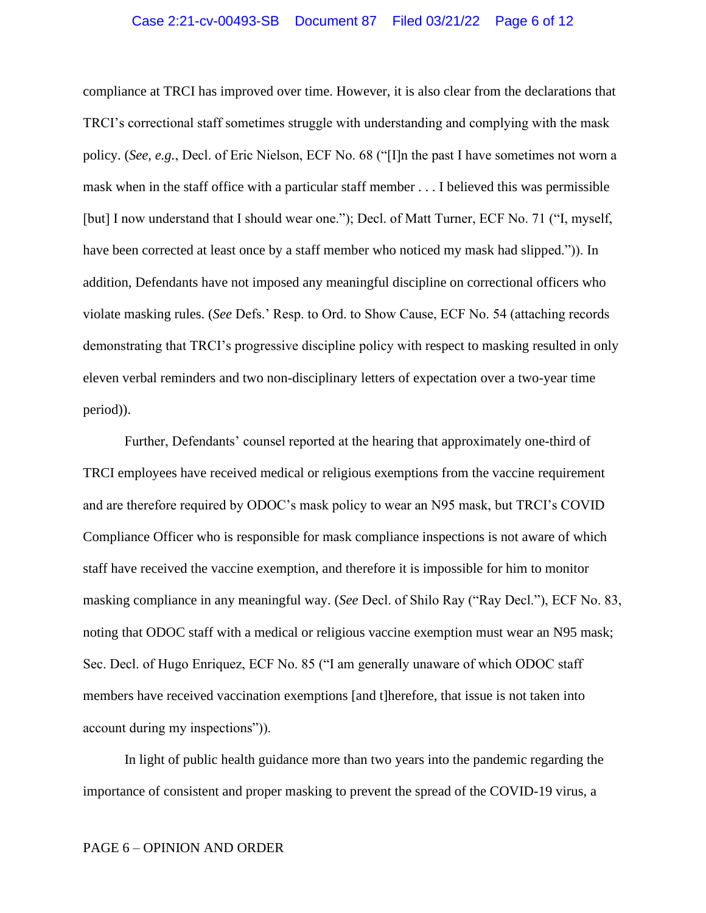#### Case 2:21-cv-00493-SB Document 87 Filed 03/21/22 Page 6 of 12

compliance at TRCI has improved over time. However, it is also clear from the declarations that TRCI's correctional staff sometimes struggle with understanding and complying with the mask policy. (*See, e.g.*, Decl. of Eric Nielson, ECF No. 68 ("[I]n the past I have sometimes not worn a mask when in the staff office with a particular staff member . . . I believed this was permissible [but] I now understand that I should wear one."); Decl. of Matt Turner, ECF No. 71 ("I, myself, have been corrected at least once by a staff member who noticed my mask had slipped.")). In addition, Defendants have not imposed any meaningful discipline on correctional officers who violate masking rules. (*See* Defs.' Resp. to Ord. to Show Cause, ECF No. 54 (attaching records demonstrating that TRCI's progressive discipline policy with respect to masking resulted in only eleven verbal reminders and two non-disciplinary letters of expectation over a two-year time period)).

Further, Defendants' counsel reported at the hearing that approximately one-third of TRCI employees have received medical or religious exemptions from the vaccine requirement and are therefore required by ODOC's mask policy to wear an N95 mask, but TRCI's COVID Compliance Officer who is responsible for mask compliance inspections is not aware of which staff have received the vaccine exemption, and therefore it is impossible for him to monitor masking compliance in any meaningful way. (*See* Decl. of Shilo Ray ("Ray Decl."), ECF No. 83, noting that ODOC staff with a medical or religious vaccine exemption must wear an N95 mask; Sec. Decl. of Hugo Enriquez, ECF No. 85 ("I am generally unaware of which ODOC staff members have received vaccination exemptions [and t]herefore, that issue is not taken into account during my inspections")).

In light of public health guidance more than two years into the pandemic regarding the importance of consistent and proper masking to prevent the spread of the COVID-19 virus, a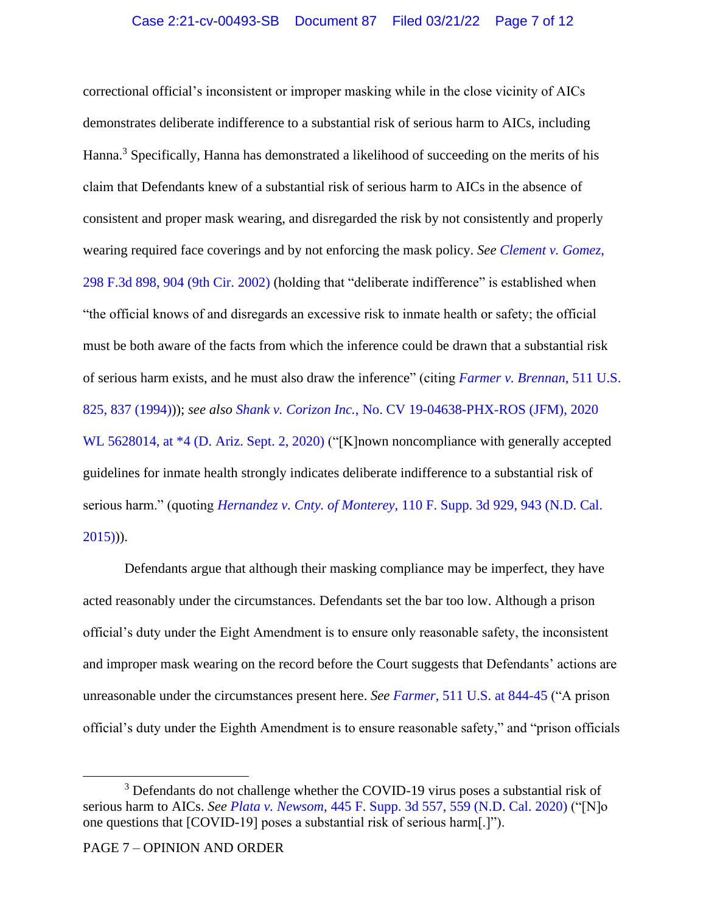correctional official's inconsistent or improper masking while in the close vicinity of AICs demonstrates deliberate indifference to a substantial risk of serious harm to AICs, including Hanna.<sup>3</sup> Specifically, Hanna has demonstrated a likelihood of succeeding on the merits of his claim that Defendants knew of a substantial risk of serious harm to AICs in the absence of consistent and proper mask wearing, and disregarded the risk by not consistently and properly wearing required face coverings and by not enforcing the mask policy. *See [Clement v. Gomez](https://www.westlaw.com/Document/Icb9d773779e011d9ac1ffa9f33b6c3b0/View/FullText.html?transitionType=Default&contextData=(sc.Default)&VR=3.0&RS=da3.0&fragmentIdentifier=co_pp_sp_506_904)*, [298 F.3d 898, 904 \(9th Cir. 2002\)](https://www.westlaw.com/Document/Icb9d773779e011d9ac1ffa9f33b6c3b0/View/FullText.html?transitionType=Default&contextData=(sc.Default)&VR=3.0&RS=da3.0&fragmentIdentifier=co_pp_sp_506_904) (holding that "deliberate indifference" is established when "the official knows of and disregards an excessive risk to inmate health or safety; the official must be both aware of the facts from which the inference could be drawn that a substantial risk of serious harm exists, and he must also draw the inference" (citing *[Farmer v. Brennan](https://www.westlaw.com/Document/Idb7de2829c4f11d993e6d35cc61aab4a/View/FullText.html?transitionType=Default&contextData=(sc.Default)&VR=3.0&RS=da3.0&fragmentIdentifier=co_pp_sp_780_837)*, 511 U.S. [825, 837 \(1994\)\)](https://www.westlaw.com/Document/Idb7de2829c4f11d993e6d35cc61aab4a/View/FullText.html?transitionType=Default&contextData=(sc.Default)&VR=3.0&RS=da3.0&fragmentIdentifier=co_pp_sp_780_837)); *see also Shank v. Corizon Inc.*[, No. CV 19-04638-PHX-ROS \(JFM\), 2020](https://www.westlaw.com/Document/I4a438c30fc7711ea8683e5d4a752d04a/View/FullText.html?transitionType=Default&contextData=(sc.Default)&VR=3.0&RS=da3.0&fragmentIdentifier=co_pp_sp_999_4)  WL 5628014, at  $*4$  (D. Ariz. Sept. 2, 2020) ("[K]nown noncompliance with generally accepted guidelines for inmate health strongly indicates deliberate indifference to a substantial risk of serious harm." (quoting *Hernandez v. Cnty. of Monterey*[, 110 F. Supp. 3d 929, 943 \(N.D. Cal.](https://www.westlaw.com/Document/I0f1f9db01a0f11e5b4bafa136b480ad2/View/FullText.html?transitionType=Default&contextData=(sc.Default)&VR=3.0&RS=da3.0&fragmentIdentifier=co_pp_sp_7903_943)   $2015)$ ).

Defendants argue that although their masking compliance may be imperfect, they have acted reasonably under the circumstances. Defendants set the bar too low. Although a prison official's duty under the Eight Amendment is to ensure only reasonable safety, the inconsistent and improper mask wearing on the record before the Court suggests that Defendants' actions are unreasonable under the circumstances present here. *See Farmer*[, 511 U.S. at 844-45](https://www.westlaw.com/Document/Idb7de2829c4f11d993e6d35cc61aab4a/View/FullText.html?transitionType=Default&contextData=(sc.Default)&VR=3.0&RS=da3.0&fragmentIdentifier=co_pp_sp_780_844) ("A prison official's duty under the Eighth Amendment is to ensure reasonable safety," and "prison officials

<sup>&</sup>lt;sup>3</sup> Defendants do not challenge whether the COVID-19 virus poses a substantial risk of serious harm to AICs. *See Plata v. Newsom*[, 445 F. Supp. 3d 557, 559 \(N.D. Cal. 2020\)](https://www.westlaw.com/Document/I02f6f280834211eaafec9267fcc8c7fa/View/FullText.html?transitionType=Default&contextData=(sc.Default)&VR=3.0&RS=da3.0&fragmentIdentifier=co_pp_sp_7903_559) ("[N]o one questions that [COVID-19] poses a substantial risk of serious harm[.]").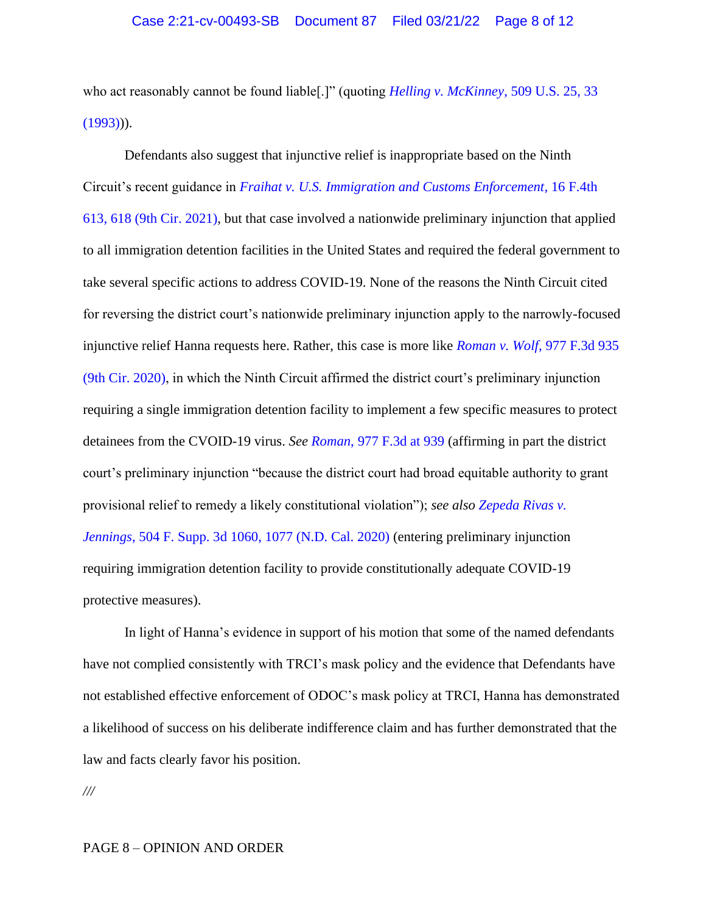who act reasonably cannot be found liable[.]" (quoting *[Helling v. McKinney](https://www.westlaw.com/Document/Iaf7960839c7e11d9bdd1cfdd544ca3a4/View/FullText.html?transitionType=Default&contextData=(sc.Default)&VR=3.0&RS=da3.0&fragmentIdentifier=co_pp_sp_780_33)*, 509 U.S. 25, 33  $(1993))$ .

Defendants also suggest that injunctive relief is inappropriate based on the Ninth Circuit's recent guidance in *[Fraihat v. U.S. Immigration and Customs Enforcement](https://www.westlaw.com/Document/Ic628a1f031eb11ec92b2ac1d0acb6802/View/FullText.html?transitionType=Default&contextData=(sc.Default)&VR=3.0&RS=da3.0&fragmentIdentifier=co_pp_sp_8173_618)*, 16 F.4th [613, 618 \(9th Cir. 2021\),](https://www.westlaw.com/Document/Ic628a1f031eb11ec92b2ac1d0acb6802/View/FullText.html?transitionType=Default&contextData=(sc.Default)&VR=3.0&RS=da3.0&fragmentIdentifier=co_pp_sp_8173_618) but that case involved a nationwide preliminary injunction that applied to all immigration detention facilities in the United States and required the federal government to take several specific actions to address COVID-19. None of the reasons the Ninth Circuit cited for reversing the district court's nationwide preliminary injunction apply to the narrowly-focused injunctive relief Hanna requests here. Rather, this case is more like *Roman v. Wolf*[, 977 F.3d 935](https://www.westlaw.com/Document/I395e6a400d9111ebb0bbcfa37ab37316/View/FullText.html?transitionType=Default&contextData=(sc.Default)&VR=3.0&RS=da3.0)  [\(9th Cir. 2020\),](https://www.westlaw.com/Document/I395e6a400d9111ebb0bbcfa37ab37316/View/FullText.html?transitionType=Default&contextData=(sc.Default)&VR=3.0&RS=da3.0) in which the Ninth Circuit affirmed the district court's preliminary injunction requiring a single immigration detention facility to implement a few specific measures to protect detainees from the CVOID-19 virus. *See Roman*[, 977 F.3d at 939](https://www.westlaw.com/Document/I395e6a400d9111ebb0bbcfa37ab37316/View/FullText.html?transitionType=Default&contextData=(sc.Default)&VR=3.0&RS=da3.0&fragmentIdentifier=co_pp_sp_506_939) (affirming in part the district court's preliminary injunction "because the district court had broad equitable authority to grant provisional relief to remedy a likely constitutional violation"); *see also [Zepeda Rivas v.](https://www.westlaw.com/Document/I16080dd035c811ebb8d2ad13bbc2247e/View/FullText.html?transitionType=Default&contextData=(sc.Default)&VR=3.0&RS=da3.0&fragmentIdentifier=co_pp_sp_7903_1077)  Jennings*[, 504 F. Supp. 3d 1060, 1077 \(N.D. Cal. 2020\)](https://www.westlaw.com/Document/I16080dd035c811ebb8d2ad13bbc2247e/View/FullText.html?transitionType=Default&contextData=(sc.Default)&VR=3.0&RS=da3.0&fragmentIdentifier=co_pp_sp_7903_1077) (entering preliminary injunction requiring immigration detention facility to provide constitutionally adequate COVID-19 protective measures).

In light of Hanna's evidence in support of his motion that some of the named defendants have not complied consistently with TRCI's mask policy and the evidence that Defendants have not established effective enforcement of ODOC's mask policy at TRCI, Hanna has demonstrated a likelihood of success on his deliberate indifference claim and has further demonstrated that the law and facts clearly favor his position.

*///*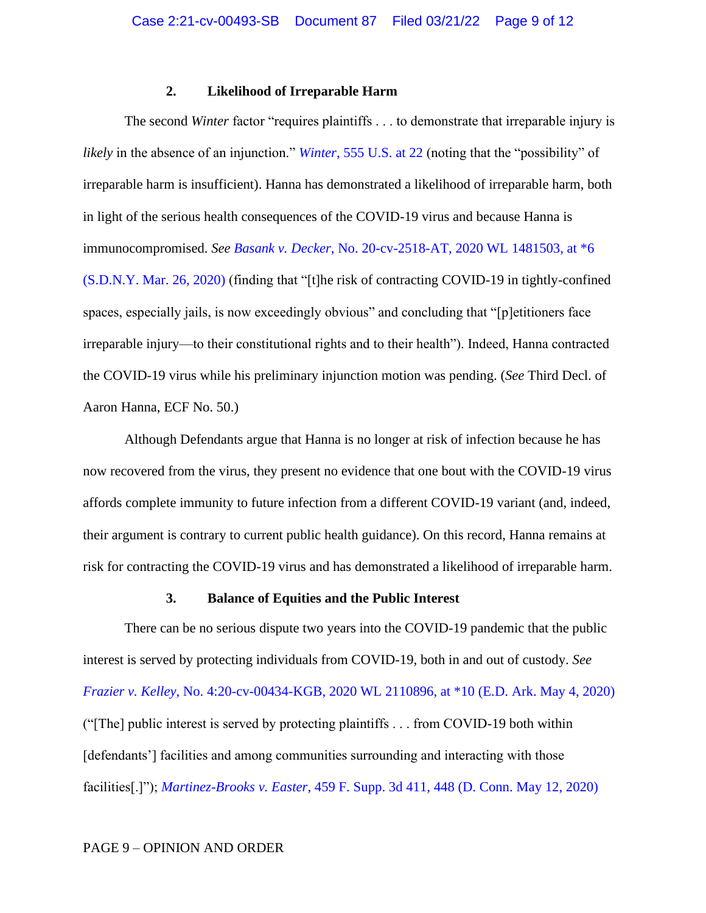### **2. Likelihood of Irreparable Harm**

The second *Winter* factor "requires plaintiffs . . . to demonstrate that irreparable injury is *likely* in the absence of an injunction." *Winter*[, 555 U.S. at 22](https://www.westlaw.com/Document/I2c2f54e6b02911ddb7e683ba170699a5/View/FullText.html?transitionType=Default&contextData=(sc.Default)&VR=3.0&RS=da3.0&fragmentIdentifier=co_pp_sp_780_22) (noting that the "possibility" of irreparable harm is insufficient). Hanna has demonstrated a likelihood of irreparable harm, both in light of the serious health consequences of the COVID-19 virus and because Hanna is immunocompromised. *See Basank v. Decker*[, No. 20-cv-2518-AT, 2020 WL 1481503, at \\*6](https://www.westlaw.com/Document/I42c3c070704911eab786fe7e99a60f40/View/FullText.html?transitionType=Default&contextData=(sc.Default)&VR=3.0&RS=da3.0&fragmentIdentifier=co_pp_sp_999_6)  [\(S.D.N.Y. Mar. 26, 2020\)](https://www.westlaw.com/Document/I42c3c070704911eab786fe7e99a60f40/View/FullText.html?transitionType=Default&contextData=(sc.Default)&VR=3.0&RS=da3.0&fragmentIdentifier=co_pp_sp_999_6) (finding that "[t]he risk of contracting COVID-19 in tightly-confined spaces, especially jails, is now exceedingly obvious" and concluding that "[p]etitioners face irreparable injury—to their constitutional rights and to their health"). Indeed, Hanna contracted the COVID-19 virus while his preliminary injunction motion was pending. (*See* Third Decl. of Aaron Hanna, ECF No. 50.)

Although Defendants argue that Hanna is no longer at risk of infection because he has now recovered from the virus, they present no evidence that one bout with the COVID-19 virus affords complete immunity to future infection from a different COVID-19 variant (and, indeed, their argument is contrary to current public health guidance). On this record, Hanna remains at risk for contracting the COVID-19 virus and has demonstrated a likelihood of irreparable harm.

### **3. Balance of Equities and the Public Interest**

There can be no serious dispute two years into the COVID-19 pandemic that the public interest is served by protecting individuals from COVID-19, both in and out of custody. *See Frazier v. Kelley*[, No. 4:20-cv-00434-KGB, 2020 WL 2110896, at \\*10](https://www.westlaw.com/Document/Ic030eb908e5411eab3baac36ecf92c85/View/FullText.html?transitionType=Default&contextData=(sc.Default)&VR=3.0&RS=da3.0&fragmentIdentifier=co_pp_sp_999_10) (E.D. Ark. May 4, 2020) ("[The] public interest is served by protecting plaintiffs . . . from COVID-19 both within [defendants'] facilities and among communities surrounding and interacting with those facilities[.]"); *Martinez-Brooks v. Easter*[, 459 F. Supp. 3d 411, 448 \(D. Conn. May 12, 2020\)](https://www.westlaw.com/Document/I57ba1eb0950211ea8b0f97acce53a660/View/FullText.html?transitionType=Default&contextData=(sc.Default)&VR=3.0&RS=da3.0&fragmentIdentifier=co_pp_sp_7903_448)

### PAGE 9 – OPINION AND ORDER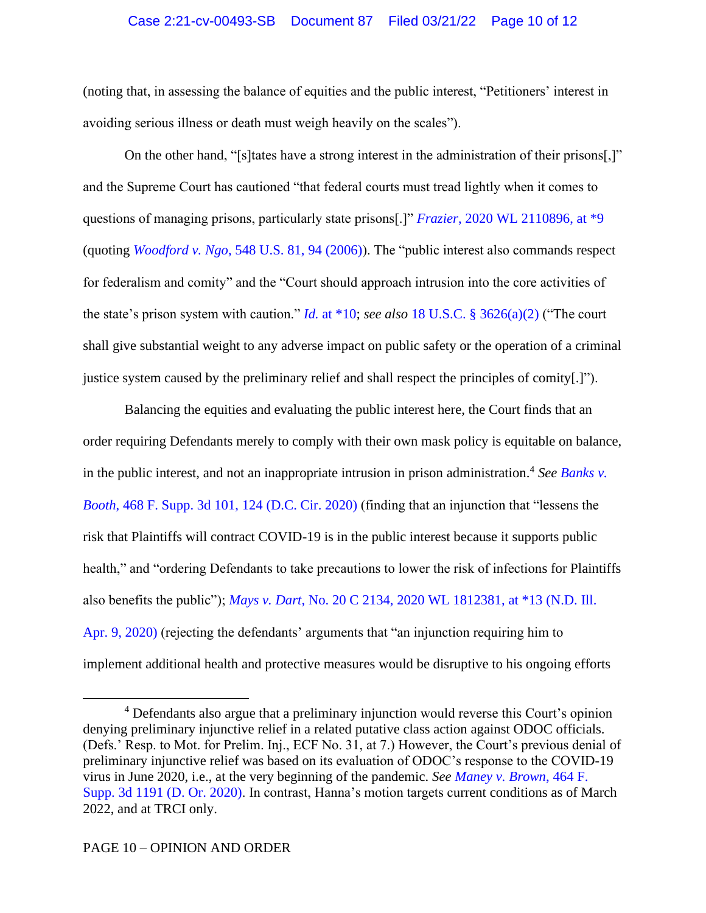### Case 2:21-cv-00493-SB Document 87 Filed 03/21/22 Page 10 of 12

(noting that, in assessing the balance of equities and the public interest, "Petitioners' interest in avoiding serious illness or death must weigh heavily on the scales").

On the other hand, "[s]tates have a strong interest in the administration of their prisons[,]" and the Supreme Court has cautioned "that federal courts must tread lightly when it comes to questions of managing prisons, particularly state prisons[.]" *Frazier*[, 2020 WL 2110896, at \\*9](https://www.westlaw.com/Document/Ic030eb908e5411eab3baac36ecf92c85/View/FullText.html?transitionType=Default&contextData=(sc.Default)&VR=3.0&RS=da3.0&fragmentIdentifier=co_pp_sp_999_9) (quoting *Woodford v. Ngo*[, 548 U.S. 81, 94 \(2006\)\)](https://www.westlaw.com/Document/Icfadb5b201e811dba2529ff4f933adbe/View/FullText.html?transitionType=Default&contextData=(sc.Default)&VR=3.0&RS=da3.0&fragmentIdentifier=co_pp_sp_780_94). The "public interest also commands respect for federalism and comity" and the "Court should approach intrusion into the core activities of the state's prison system with caution." *Id.* [at \\*10;](https://www.westlaw.com/Document/Ic030eb908e5411eab3baac36ecf92c85/View/FullText.html?transitionType=Default&contextData=(sc.Default)&VR=3.0&RS=da3.0&fragmentIdentifier=co_pp_sp_999_10) *see also* [18 U.S.C. § 3626\(a\)\(2\)](https://www.westlaw.com/Document/NF9C26DC0B36411D8983DF34406B5929B/View/FullText.html?transitionType=Default&contextData=(sc.Default)&VR=3.0&RS=da3.0) ("The court shall give substantial weight to any adverse impact on public safety or the operation of a criminal justice system caused by the preliminary relief and shall respect the principles of comity[.]").

Balancing the equities and evaluating the public interest here, the Court finds that an order requiring Defendants merely to comply with their own mask policy is equitable on balance, in the public interest, and not an inappropriate intrusion in prison administration.<sup>4</sup> See Banks v. *Booth*[, 468 F. Supp. 3d 101, 124 \(D.C. Cir. 2020\)](https://www.westlaw.com/Document/I20f139a0b20211eabb6d82c9ad959d07/View/FullText.html?transitionType=Default&contextData=(sc.Default)&VR=3.0&RS=da3.0&fragmentIdentifier=co_pp_sp_7903_124) (finding that an injunction that "lessens the risk that Plaintiffs will contract COVID-19 is in the public interest because it supports public health," and "ordering Defendants to take precautions to lower the risk of infections for Plaintiffs also benefits the public"); *Mays v. Dart*, [No. 20 C 2134, 2020 WL 1812381, at \\*13 \(N.D. Ill.](https://www.westlaw.com/Document/I05af09807b3211ea99d1b3eb37f7abb3/View/FullText.html?transitionType=Default&contextData=(sc.Default)&VR=3.0&RS=da3.0&fragmentIdentifier=co_pp_sp_999_13)  [Apr. 9, 2020\)](https://www.westlaw.com/Document/I05af09807b3211ea99d1b3eb37f7abb3/View/FullText.html?transitionType=Default&contextData=(sc.Default)&VR=3.0&RS=da3.0&fragmentIdentifier=co_pp_sp_999_13) (rejecting the defendants' arguments that "an injunction requiring him to implement additional health and protective measures would be disruptive to his ongoing efforts

<sup>&</sup>lt;sup>4</sup> Defendants also argue that a preliminary injunction would reverse this Court's opinion denying preliminary injunctive relief in a related putative class action against ODOC officials. (Defs.' Resp. to Mot. for Prelim. Inj., ECF No. 31, at 7.) However, the Court's previous denial of preliminary injunctive relief was based on its evaluation of ODOC's response to the COVID-19 virus in June 2020, i.e., at the very beginning of the pandemic. *See [Maney v. Brown](https://www.westlaw.com/Document/I7f36ea90a4b611eabb91c2e2bc8b49a5/View/FullText.html?transitionType=Default&contextData=(sc.Default)&VR=3.0&RS=da3.0)*, 464 F. [Supp. 3d 1191 \(D. Or. 2020\).](https://www.westlaw.com/Document/I7f36ea90a4b611eabb91c2e2bc8b49a5/View/FullText.html?transitionType=Default&contextData=(sc.Default)&VR=3.0&RS=da3.0) In contrast, Hanna's motion targets current conditions as of March 2022, and at TRCI only.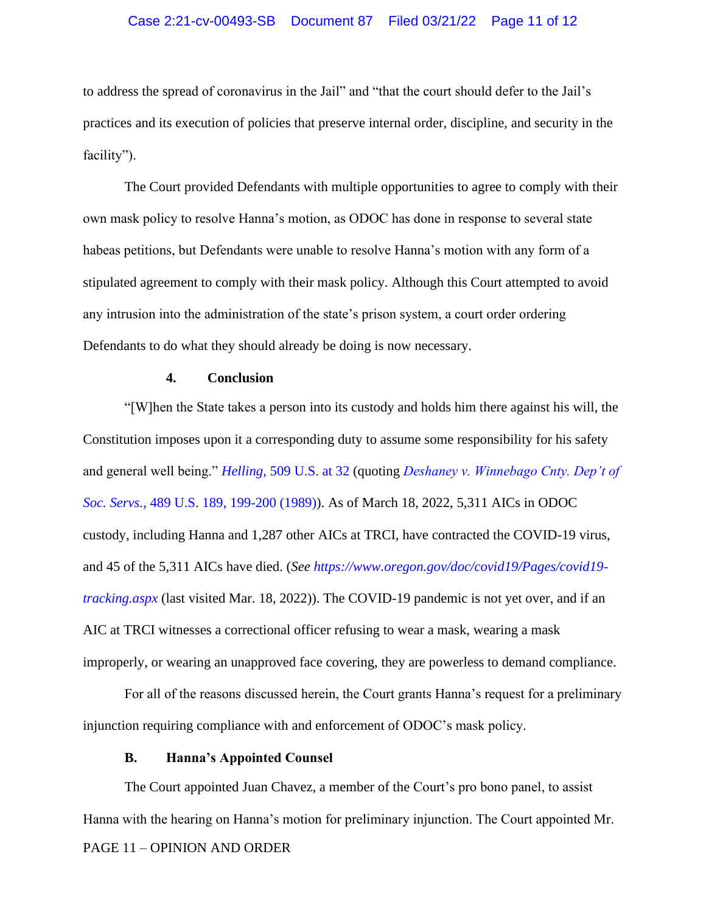#### Case 2:21-cv-00493-SB Document 87 Filed 03/21/22 Page 11 of 12

to address the spread of coronavirus in the Jail" and "that the court should defer to the Jail's practices and its execution of policies that preserve internal order, discipline, and security in the facility").

The Court provided Defendants with multiple opportunities to agree to comply with their own mask policy to resolve Hanna's motion, as ODOC has done in response to several state habeas petitions, but Defendants were unable to resolve Hanna's motion with any form of a stipulated agreement to comply with their mask policy. Although this Court attempted to avoid any intrusion into the administration of the state's prison system, a court order ordering Defendants to do what they should already be doing is now necessary.

### **4. Conclusion**

"[W]hen the State takes a person into its custody and holds him there against his will, the Constitution imposes upon it a corresponding duty to assume some responsibility for his safety and general well being." *Helling*[, 509 U.S. at 32](https://www.westlaw.com/Document/Iaf7960839c7e11d9bdd1cfdd544ca3a4/View/FullText.html?transitionType=Default&contextData=(sc.Default)&VR=3.0&RS=da3.0&fragmentIdentifier=co_pp_sp_780_32) (quoting *[Deshaney v. Winnebago Cnty. Dep't of](https://www.westlaw.com/Document/Ia09d99c59c9a11d993e6d35cc61aab4a/View/FullText.html?transitionType=Default&contextData=(sc.Default)&VR=3.0&RS=da3.0&fragmentIdentifier=co_pp_sp_780_199)  Soc. Servs.*[, 489 U.S. 189, 199-200 \(1989\)\)](https://www.westlaw.com/Document/Ia09d99c59c9a11d993e6d35cc61aab4a/View/FullText.html?transitionType=Default&contextData=(sc.Default)&VR=3.0&RS=da3.0&fragmentIdentifier=co_pp_sp_780_199). As of March 18, 2022, 5,311 AICs in ODOC custody, including Hanna and 1,287 other AICs at TRCI, have contracted the COVID-19 virus, and 45 of the 5,311 AICs have died. (*See [https://www.oregon.gov/doc/covid19/Pages/covid19](https://www.oregon.gov/doc/covid19/Pages/covid19-tracking.aspx) [tracking.aspx](https://www.oregon.gov/doc/covid19/Pages/covid19-tracking.aspx)* (last visited Mar. 18, 2022)). The COVID-19 pandemic is not yet over, and if an AIC at TRCI witnesses a correctional officer refusing to wear a mask, wearing a mask improperly, or wearing an unapproved face covering, they are powerless to demand compliance.

For all of the reasons discussed herein, the Court grants Hanna's request for a preliminary injunction requiring compliance with and enforcement of ODOC's mask policy.

#### **B. Hanna's Appointed Counsel**

PAGE 11 – OPINION AND ORDER The Court appointed Juan Chavez, a member of the Court's pro bono panel, to assist Hanna with the hearing on Hanna's motion for preliminary injunction. The Court appointed Mr.